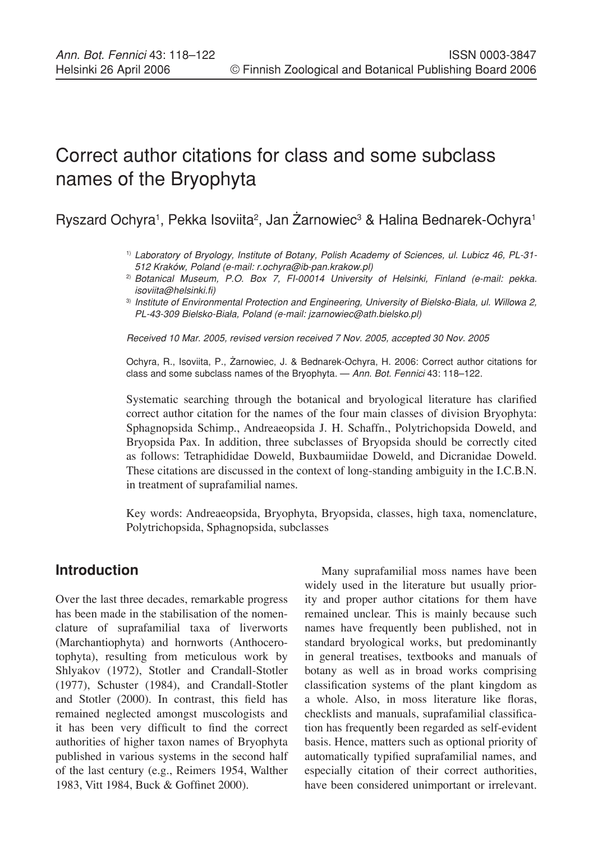# Correct author citations for class and some subclass names of the Bryophyta

Ryszard Ochyra<sup>1</sup>, Pekka Isoviita<sup>2</sup>, Jan Żarnowiec<sup>3</sup> & Halina Bednarek-Ochyra<sup>1</sup>

- 1) Laboratory of Bryology, Institute of Botany, Polish Academy of Sciences, ul. Lubicz 46, PL-31- 512 Kraków, Poland (e-mail: r.ochyra@ib-pan.krakow.pl)
- 2) Botanical Museum, P.O. Box 7, FI-00014 University of Helsinki, Finland (e-mail: pekka. isoviita@helsinki.fi)
- 3) Institute of Environmental Protection and Engineering, University of Bielsko-Biała, ul. Willowa 2, PL-43-309 Bielsko-Biała, Poland (e-mail: jzarnowiec@ath.bielsko.pl)

Received 10 Mar. 2005, revised version received 7 Nov. 2005, accepted 30 Nov. 2005

Ochyra, R., Isoviita, P., Żarnowiec, J. & Bednarek-Ochyra, H. 2006: Correct author citations for class and some subclass names of the Bryophyta. — Ann. Bot. Fennici 43: 118–122.

Systematic searching through the botanical and bryological literature has clarified correct author citation for the names of the four main classes of division Bryophyta: Sphagnopsida Schimp., Andreaeopsida J. H. Schaffn., Polytrichopsida Doweld, and Bryopsida Pax. In addition, three subclasses of Bryopsida should be correctly cited as follows: Tetraphididae Doweld, Buxbaumiidae Doweld, and Dicranidae Doweld. These citations are discussed in the context of long-standing ambiguity in the I.C.B.N. in treatment of suprafamilial names.

Key words: Andreaeopsida, Bryophyta, Bryopsida, classes, high taxa, nomenclature, Polytrichopsida, Sphagnopsida, subclasses

# **Introduction**

Over the last three decades, remarkable progress has been made in the stabilisation of the nomenclature of suprafamilial taxa of liverworts (Marchantiophyta) and hornworts (Anthocerotophyta), resulting from meticulous work by Shlyakov (1972), Stotler and Crandall-Stotler (1977), Schuster (1984), and Crandall-Stotler and Stotler (2000). In contrast, this field has remained neglected amongst muscologists and it has been very difficult to find the correct authorities of higher taxon names of Bryophyta published in various systems in the second half of the last century (e.g., Reimers 1954, Walther 1983, Vitt 1984, Buck & Goffinet 2000).

Many suprafamilial moss names have been widely used in the literature but usually priority and proper author citations for them have remained unclear. This is mainly because such names have frequently been published, not in standard bryological works, but predominantly in general treatises, textbooks and manuals of botany as well as in broad works comprising classification systems of the plant kingdom as a whole. Also, in moss literature like floras, checklists and manuals, suprafamilial classification has frequently been regarded as self-evident basis. Hence, matters such as optional priority of automatically typified suprafamilial names, and especially citation of their correct authorities, have been considered unimportant or irrelevant.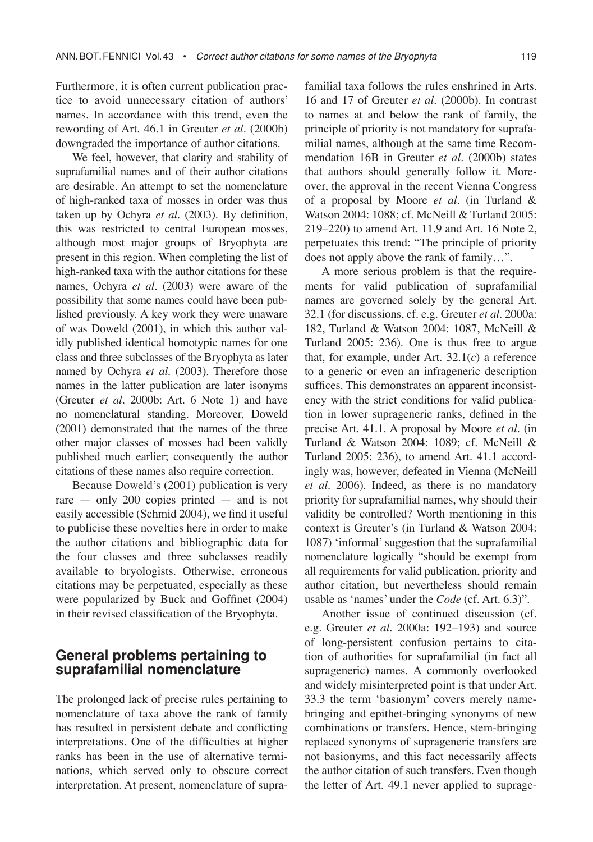Furthermore, it is often current publication practice to avoid unnecessary citation of authors' names. In accordance with this trend, even the rewording of Art. 46.1 in Greuter *et al*. (2000b) downgraded the importance of author citations.

We feel, however, that clarity and stability of suprafamilial names and of their author citations are desirable. An attempt to set the nomenclature of high-ranked taxa of mosses in order was thus taken up by Ochyra *et al*. (2003). By definition, this was restricted to central European mosses, although most major groups of Bryophyta are present in this region. When completing the list of high-ranked taxa with the author citations for these names, Ochyra *et al*. (2003) were aware of the possibility that some names could have been published previously. A key work they were unaware of was Doweld (2001), in which this author validly published identical homotypic names for one class and three subclasses of the Bryophyta as later named by Ochyra *et al*. (2003). Therefore those names in the latter publication are later isonyms (Greuter *et al*. 2000b: Art. 6 Note 1) and have no nomenclatural standing. Moreover, Doweld (2001) demonstrated that the names of the three other major classes of mosses had been validly published much earlier; consequently the author citations of these names also require correction.

Because Doweld's (2001) publication is very rare — only 200 copies printed — and is not easily accessible (Schmid 2004), we find it useful to publicise these novelties here in order to make the author citations and bibliographic data for the four classes and three subclasses readily available to bryologists. Otherwise, erroneous citations may be perpetuated, especially as these were popularized by Buck and Goffinet (2004) in their revised classification of the Bryophyta.

# **General problems pertaining to suprafamilial nomenclature**

The prolonged lack of precise rules pertaining to nomenclature of taxa above the rank of family has resulted in persistent debate and conflicting interpretations. One of the difficulties at higher ranks has been in the use of alternative terminations, which served only to obscure correct interpretation. At present, nomenclature of suprafamilial taxa follows the rules enshrined in Arts. 16 and 17 of Greuter *et al*. (2000b). In contrast to names at and below the rank of family, the principle of priority is not mandatory for suprafamilial names, although at the same time Recommendation 16B in Greuter *et al*. (2000b) states that authors should generally follow it. Moreover, the approval in the recent Vienna Congress of a proposal by Moore *et al*. (in Turland & Watson 2004: 1088; cf. McNeill & Turland 2005: 219–220) to amend Art. 11.9 and Art. 16 Note 2, perpetuates this trend: "The principle of priority does not apply above the rank of family…".

A more serious problem is that the requirements for valid publication of suprafamilial names are governed solely by the general Art. 32.1 (for discussions, cf. e.g. Greuter *et al.* 2000a: 182, Turland & Watson 2004: 1087, McNeill & Turland 2005: 236). One is thus free to argue that, for example, under Art. 32.1(*c*) a reference to a generic or even an infrageneric description suffices. This demonstrates an apparent inconsistency with the strict conditions for valid publication in lower suprageneric ranks, defined in the precise Art. 41.1. A proposal by Moore *et al*. (in Turland & Watson 2004: 1089; cf. McNeill & Turland 2005: 236), to amend Art. 41.1 accordingly was, however, defeated in Vienna (McNeill *et al*. 2006). Indeed, as there is no mandatory priority for suprafamilial names, why should their validity be controlled? Worth mentioning in this context is Greuter's (in Turland & Watson 2004: 1087) 'informal' suggestion that the suprafamilial nomenclature logically "should be exempt from all requirements for valid publication, priority and author citation, but nevertheless should remain usable as 'names' under the *Code* (cf. Art. 6.3)".

Another issue of continued discussion (cf. e.g. Greuter *et al.* 2000a: 192–193) and source of long-persistent confusion pertains to citation of authorities for suprafamilial (in fact all suprageneric) names. A commonly overlooked and widely misinterpreted point is that under Art. 33.3 the term 'basionym' covers merely namebringing and epithet-bringing synonyms of new combinations or transfers. Hence, stem-bringing replaced synonyms of suprageneric transfers are not basionyms, and this fact necessarily affects the author citation of such transfers. Even though the letter of Art. 49.1 never applied to suprage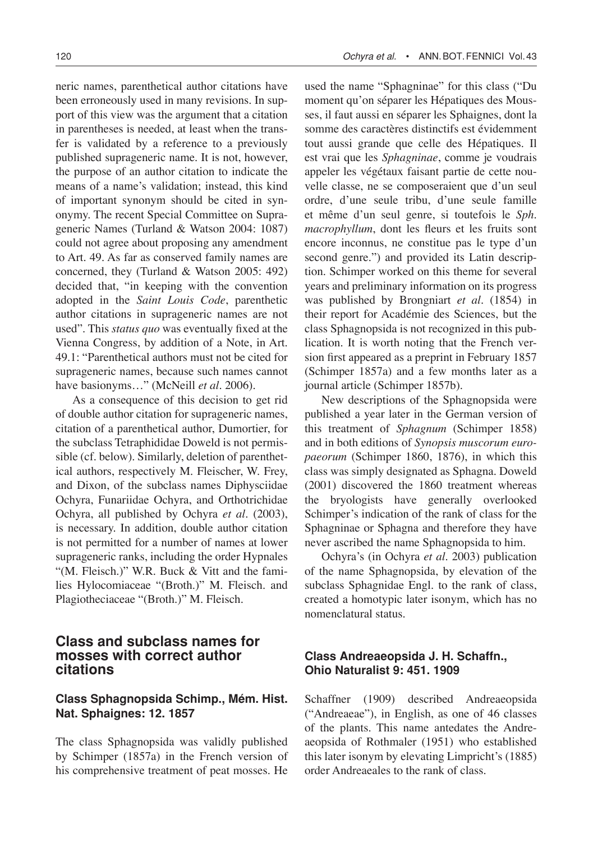neric names, parenthetical author citations have been erroneously used in many revisions. In support of this view was the argument that a citation in parentheses is needed, at least when the transfer is validated by a reference to a previously published suprageneric name. It is not, however, the purpose of an author citation to indicate the means of a name's validation; instead, this kind of important synonym should be cited in synonymy. The recent Special Committee on Suprageneric Names (Turland & Watson 2004: 1087) could not agree about proposing any amendment to Art. 49. As far as conserved family names are concerned, they (Turland & Watson 2005: 492) decided that, "in keeping with the convention adopted in the *Saint Louis Code*, parenthetic author citations in suprageneric names are not used". This *status quo* was eventually fixed at the Vienna Congress, by addition of a Note, in Art. 49.1: "Parenthetical authors must not be cited for suprageneric names, because such names cannot have basionyms…" (McNeill *et al*. 2006).

As a consequence of this decision to get rid of double author citation for suprageneric names, citation of a parenthetical author, Dumortier, for the subclass Tetraphididae Doweld is not permissible (cf. below). Similarly, deletion of parenthetical authors, respectively M. Fleischer, W. Frey, and Dixon, of the subclass names Diphysciidae Ochyra, Funariidae Ochyra, and Orthotrichidae Ochyra, all published by Ochyra *et al.* (2003), is necessary. In addition, double author citation is not permitted for a number of names at lower suprageneric ranks, including the order Hypnales "(M. Fleisch.)" W.R. Buck & Vitt and the families Hylocomiaceae "(Broth.)" M. Fleisch. and Plagiotheciaceae "(Broth.)" M. Fleisch.

# **Class and subclass names for mosses with correct author citations**

## **Class Sphagnopsida Schimp., Mém. Hist. Nat. Sphaignes: 12. 1857**

The class Sphagnopsida was validly published by Schimper (1857a) in the French version of his comprehensive treatment of peat mosses. He

used the name "Sphagninae" for this class ("Du moment qu'on séparer les Hépatiques des Mousses, il faut aussi en séparer les Sphaignes, dont la somme des caractères distinctifs est évidemment tout aussi grande que celle des Hépatiques. Il est vrai que les *Sphagninae*, comme je voudrais appeler les végétaux faisant partie de cette nouvelle classe, ne se composeraient que d'un seul ordre, d'une seule tribu, d'une seule famille et même d'un seul genre, si toutefois le *Sph. macrophyllum*, dont les fleurs et les fruits sont encore inconnus, ne constitue pas le type d'un second genre.") and provided its Latin description. Schimper worked on this theme for several years and preliminary information on its progress was published by Brongniart *et al*. (1854) in their report for Académie des Sciences, but the class Sphagnopsida is not recognized in this publication. It is worth noting that the French version first appeared as a preprint in February 1857 (Schimper 1857a) and a few months later as a journal article (Schimper 1857b).

New descriptions of the Sphagnopsida were published a year later in the German version of this treatment of *Sphagnum* (Schimper 1858) and in both editions of *Synopsis muscorum europaeorum* (Schimper 1860, 1876), in which this class was simply designated as Sphagna. Doweld (2001) discovered the 1860 treatment whereas the bryologists have generally overlooked Schimper's indication of the rank of class for the Sphagninae or Sphagna and therefore they have never ascribed the name Sphagnopsida to him.

Ochyra's (in Ochyra *et al*. 2003) publication of the name Sphagnopsida, by elevation of the subclass Sphagnidae Engl. to the rank of class, created a homotypic later isonym, which has no nomenclatural status.

# **Class Andreaeopsida J. H. Schaffn., Ohio Naturalist 9: 451. 1909**

Schaffner (1909) described Andreaeopsida ("Andreaeae"), in English, as one of 46 classes of the plants. This name antedates the Andreaeopsida of Rothmaler (1951) who established this later isonym by elevating Limpricht's (1885) order Andreaeales to the rank of class.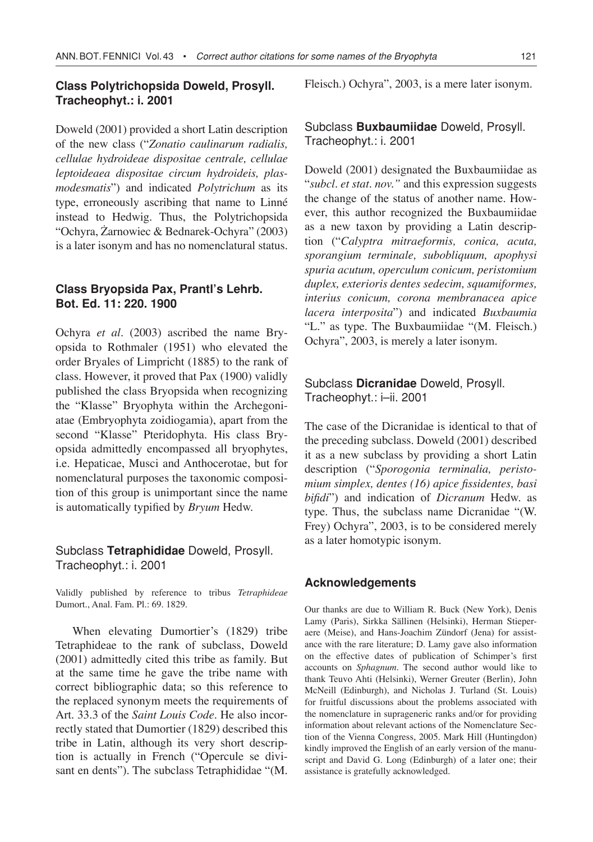#### **Class Polytrichopsida Doweld, Prosyll. Tracheophyt.: i. 2001**

Doweld (2001) provided a short Latin description of the new class ("*Zonatio caulinarum radialis, cellulae hydroideae dispositae centrale, cellulae leptoideaea dispositae circum hydroideis, plasmodesmatis*") and indicated *Polytrichum* as its type, erroneously ascribing that name to Linné instead to Hedwig. Thus, the Polytrichopsida "Ochyra, Żarnowiec & Bednarek-Ochyra" (2003) is a later isonym and has no nomenclatural status.

# **Class Bryopsida Pax, Prantl's Lehrb. Bot. Ed. 11: 220. 1900**

Ochyra *et al.* (2003) ascribed the name Bryopsida to Rothmaler (1951) who elevated the order Bryales of Limpricht (1885) to the rank of class. However, it proved that Pax (1900) validly published the class Bryopsida when recognizing the "Klasse" Bryophyta within the Archegoniatae (Embryophyta zoidiogamia), apart from the second "Klasse" Pteridophyta. His class Bryopsida admittedly encompassed all bryophytes, i.e. Hepaticae, Musci and Anthocerotae, but for nomenclatural purposes the taxonomic composition of this group is unimportant since the name is automatically typified by *Bryum* Hedw.

## Subclass **Tetraphididae** Doweld, Prosyll. Tracheophyt.: i. 2001

Validly published by reference to tribus *Tetraphideae* Dumort., Anal. Fam. Pl.: 69. 1829.

When elevating Dumortier's (1829) tribe Tetraphideae to the rank of subclass, Doweld (2001) admittedly cited this tribe as family. But at the same time he gave the tribe name with correct bibliographic data; so this reference to the replaced synonym meets the requirements of Art. 33.3 of the *Saint Louis Code*. He also incorrectly stated that Dumortier (1829) described this tribe in Latin, although its very short description is actually in French ("Opercule se divisant en dents"). The subclass Tetraphididae "(M.

Fleisch.) Ochyra", 2003, is a mere later isonym.

## Subclass **Buxbaumiidae** Doweld, Prosyll. Tracheophyt.: i. 2001

Doweld (2001) designated the Buxbaumiidae as "*subcl. et stat. nov."* and this expression suggests the change of the status of another name. However, this author recognized the Buxbaumiidae as a new taxon by providing a Latin description ("*Calyptra mitraeformis, conica, acuta, sporangium terminale, subobliquum, apophysi spuria acutum, operculum conicum, peristomium duplex, exterioris dentes sedecim, squamiformes, interius conicum, corona membranacea apice lacera interposita*") and indicated *Buxbaumia*  "L." as type. The Buxbaumiidae "(M. Fleisch.) Ochyra", 2003, is merely a later isonym.

# Subclass **Dicranidae** Doweld, Prosyll. Tracheophyt.: i–ii. 2001

The case of the Dicranidae is identical to that of the preceding subclass. Doweld (2001) described it as a new subclass by providing a short Latin description ("*Sporogonia terminalia, peristomium simplex, dentes (16) apice fissidentes, basi bifidi*") and indication of *Dicranum* Hedw. as type. Thus, the subclass name Dicranidae "(W. Frey) Ochyra", 2003, is to be considered merely as a later homotypic isonym.

#### **Acknowledgements**

Our thanks are due to William R. Buck (New York), Denis Lamy (Paris), Sirkka Sällinen (Helsinki), Herman Stieperaere (Meise), and Hans-Joachim Zündorf (Jena) for assistance with the rare literature; D. Lamy gave also information on the effective dates of publication of Schimper's first accounts on *Sphagnum*. The second author would like to thank Teuvo Ahti (Helsinki), Werner Greuter (Berlin), John McNeill (Edinburgh), and Nicholas J. Turland (St. Louis) for fruitful discussions about the problems associated with the nomenclature in suprageneric ranks and/or for providing information about relevant actions of the Nomenclature Section of the Vienna Congress, 2005. Mark Hill (Huntingdon) kindly improved the English of an early version of the manuscript and David G. Long (Edinburgh) of a later one; their assistance is gratefully acknowledged.